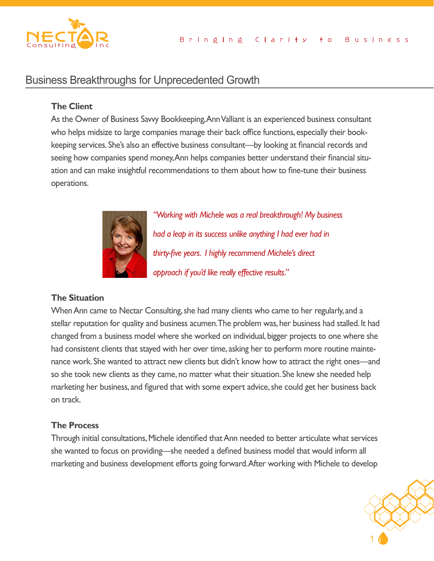

# Business Breakthroughs for Unprecedented Growth

## **The Client**

As the Owner of Business Savvy Bookkeeping, Ann Valliant is an experienced business consultant who helps midsize to large companies manage their back office functions, especially their bookkeeping services. She's also an effective business consultant—by looking at financial records and seeing how companies spend money, Ann helps companies better understand their financial situation and can make insightful recommendations to them about how to fine-tune their business operations.



*"Working with Michele was a real breakthrough! My business had a leap in its success unlike anything I had ever had in thirty-five years. I highly recommend Michele's direct approach if you'd like really effective results."*

## **The Situation**

When Ann came to Nectar Consulting, she had many clients who came to her regularly, and a stellar reputation for quality and business acumen. The problem was, her business had stalled. It had changed from a business model where she worked on individual, bigger projects to one where she had consistent clients that stayed with her over time, asking her to perform more routine maintenance work. She wanted to attract new clients but didn't know how to attract the right ones—and so she took new clients as they came, no matter what their situation. She knew she needed help marketing her business, and figured that with some expert advice, she could get her business back on track.

#### **The Process**

she wanted to focus on providing—she needed a defined business model that would inform all Through initial consultations, Michele identified that Ann needed to better articulate what services marketing and business development efforts going forward. After working with Michele to develop